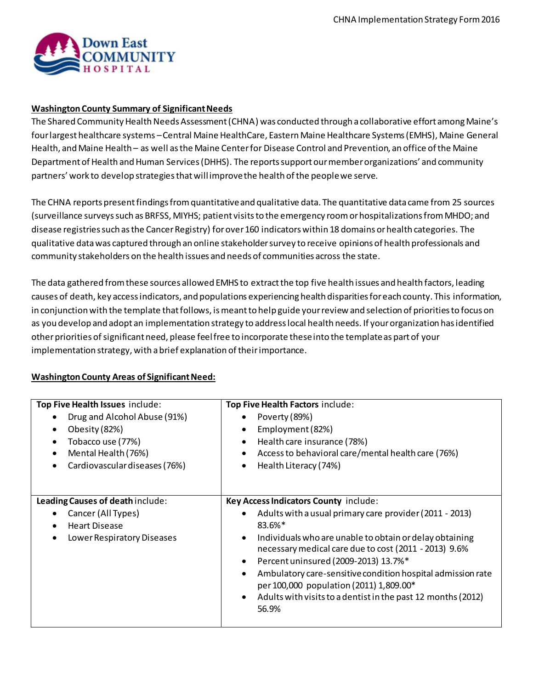

#### **Washington County Summary of Significant Needs**

The Shared Community Health Needs Assessment (CHNA) was conducted through a collaborative effort among Maine's four largest healthcare systems –Central Maine HealthCare, Eastern Maine Healthcare Systems (EMHS), Maine General Health, and Maine Health – as well as the Maine Center for Disease Control and Prevention, an office of the Maine Department of Health and Human Services (DHHS). The reports support our member organizations' and community partners' work to develop strategies that will improve the health of the people we serve.

The CHNA reports present findings from quantitative and qualitative data. The quantitative data came from 25 sources (surveillance surveys such as BRFSS, MIYHS; patient visits to the emergency room or hospitalizations from MHDO; and disease registries such as the Cancer Registry) forover 160 indicators within 18 domains or health categories. The qualitative data was captured through an online stakeholder survey to receive opinions of health professionals and community stakeholders on the health issues and needs of communities across the state.

The data gathered from these sources allowed EMHS to extract the top five health issues and health factors, leading causes of death, key access indicators, and populations experiencing health disparities for each county. This information, in conjunction with the template that follows, is meant to help guide your review and selection of priorities to focus on as you develop and adopt an implementation strategy to address local health needs. If your organization has identified other priorities ofsignificant need, please feel free to incorporate these into the template as part of your implementation strategy, with a brief explanation of their importance.

# **Washington County Areas of Significant Need:**

| Top Five Health Issues include:   | Top Five Health Factors include:                                                                                                                                                   |  |
|-----------------------------------|------------------------------------------------------------------------------------------------------------------------------------------------------------------------------------|--|
| Drug and Alcohol Abuse (91%)      | Poverty (89%)                                                                                                                                                                      |  |
| Obesity (82%)<br>$\bullet$        | Employment (82%)<br>$\bullet$                                                                                                                                                      |  |
| Tobacco use (77%)<br>$\bullet$    | Health care insurance (78%)<br>$\bullet$                                                                                                                                           |  |
| Mental Health (76%)<br>٠          | Access to behavioral care/mental health care (76%)<br>$\bullet$                                                                                                                    |  |
| Cardiovascular diseases (76%)     | Health Literacy (74%)<br>٠                                                                                                                                                         |  |
| Leading Causes of death include:  | Key Access Indicators County include:                                                                                                                                              |  |
|                                   |                                                                                                                                                                                    |  |
| Cancer (All Types)<br>$\bullet$   | Adults with a usual primary care provider (2011 - 2013)                                                                                                                            |  |
| <b>Heart Disease</b><br>$\bullet$ | 83.6%*                                                                                                                                                                             |  |
| Lower Respiratory Diseases        | Individuals who are unable to obtain or delay obtaining<br>$\bullet$<br>necessary medical care due to cost (2011 - 2013) 9.6%<br>Percent uninsured (2009-2013) 13.7%*<br>$\bullet$ |  |
|                                   | Ambulatory care-sensitive condition hospital admission rate<br>$\bullet$<br>per 100,000 population (2011) 1,809.00*                                                                |  |
|                                   | Adults with visits to a dentist in the past 12 months (2012)<br>$\bullet$<br>56.9%                                                                                                 |  |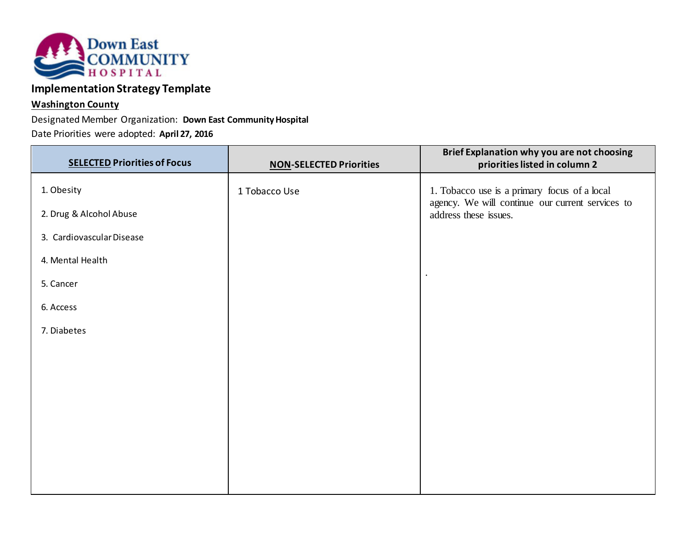

# **Implementation Strategy Template**

# **Washington County**

Designated Member Organization: **Down East Community Hospital**

Date Priorities were adopted: **April 27, 2016**

| <b>SELECTED Priorities of Focus</b> | <b>NON-SELECTED Priorities</b> | Brief Explanation why you are not choosing<br>priorities listed in column 2 |
|-------------------------------------|--------------------------------|-----------------------------------------------------------------------------|
| 1. Obesity                          | 1 Tobacco Use                  | 1. Tobacco use is a primary focus of a local                                |
| 2. Drug & Alcohol Abuse             |                                | agency. We will continue our current services to<br>address these issues.   |
| 3. Cardiovascular Disease           |                                |                                                                             |
| 4. Mental Health                    |                                |                                                                             |
| 5. Cancer                           |                                |                                                                             |
| 6. Access                           |                                |                                                                             |
| 7. Diabetes                         |                                |                                                                             |
|                                     |                                |                                                                             |
|                                     |                                |                                                                             |
|                                     |                                |                                                                             |
|                                     |                                |                                                                             |
|                                     |                                |                                                                             |
|                                     |                                |                                                                             |
|                                     |                                |                                                                             |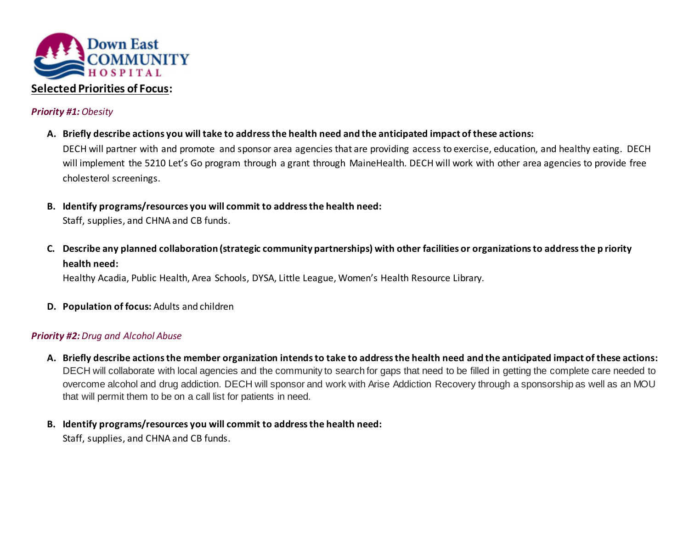

# *Priority #1: Obesity*

- **A. Briefly describe actions you will take to address the health need and the anticipated impact of these actions:** DECH will partner with and promote and sponsor area agencies that are providing access to exercise, education, and healthy eating. DECH will implement the 5210 Let's Go program through a grant through MaineHealth. DECH will work with other area agencies to provide free cholesterol screenings.
- **B. Identify programs/resources you will commit to address the health need:** Staff, supplies, and CHNA and CB funds.
- **C. Describe any planned collaboration (strategic community partnerships) with other facilities or organizations to address the p riority health need:**

Healthy Acadia, Public Health, Area Schools, DYSA, Little League, Women's Health Resource Library.

**D. Population of focus:** Adults and children

# *Priority #2: Drug and Alcohol Abuse*

- **A. Briefly describe actions the member organization intends to take to address the health need and the anticipated impact of these actions:** DECH will collaborate with local agencies and the community to search for gaps that need to be filled in getting the complete care needed to overcome alcohol and drug addiction. DECH will sponsor and work with Arise Addiction Recovery through a sponsorship as well as an MOU that will permit them to be on a call list for patients in need.
- **B. Identify programs/resources you will commit to address the health need:**

Staff, supplies, and CHNA and CB funds.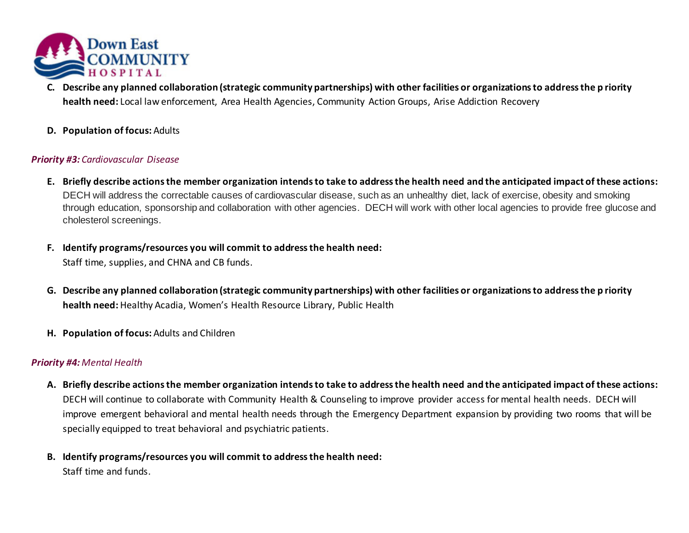

- **C. Describe any planned collaboration (strategic community partnerships) with other facilities or organizations to address the p riority health need:** Local law enforcement, Area Health Agencies, Community Action Groups, Arise Addiction Recovery
- **D. Population of focus:** Adults

# *Priority #3: Cardiovascular Disease*

- **E. Briefly describe actions the member organization intends to take to address the health need and the anticipated impact of these actions:** DECH will address the correctable causes of cardiovascular disease, such as an unhealthy diet, lack of exercise, obesity and smoking through education, sponsorship and collaboration with other agencies. DECH will work with other local agencies to provide free glucose and cholesterol screenings.
- **F. Identify programs/resources you will commit to address the health need:** Staff time, supplies, and CHNA and CB funds.
- **G. Describe any planned collaboration (strategic community partnerships) with other facilities or organizations to address the p riority health need:** Healthy Acadia, Women's Health Resource Library, Public Health
- **H. Population of focus:** Adults and Children

# *Priority #4: Mental Health*

- **A. Briefly describe actions the member organization intends to take to address the health need and the anticipated impact of these actions:** DECH will continue to collaborate with Community Health & Counseling to improve provider access for mental health needs. DECH will improve emergent behavioral and mental health needs through the Emergency Department expansion by providing two rooms that will be specially equipped to treat behavioral and psychiatric patients.
- **B. Identify programs/resources you will commit to address the health need:** Staff time and funds.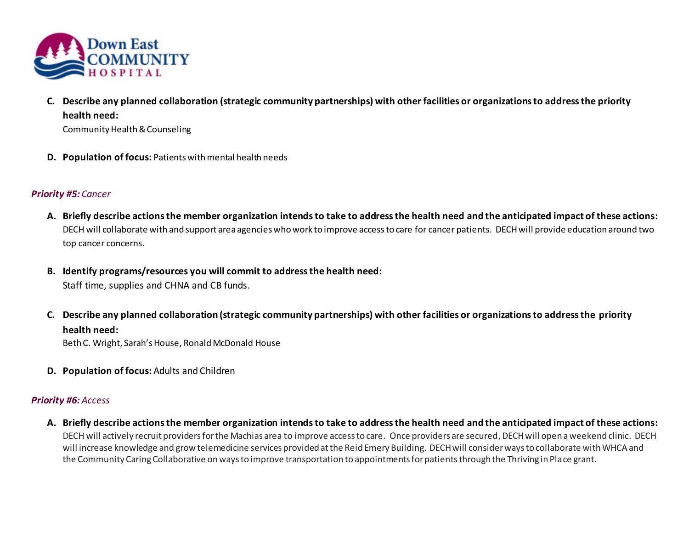

**C. Describe any planned collaboration (strategic community partnerships) with other facilities or organizations to address the priority health need:**

Community Health & Counseling

**D. Population of focus:** Patientswith mental health needs

# *Priority #5: Cancer*

- **A. Briefly describe actions the member organization intends to take to address the health need and the anticipated impact of these actions:** DECH will collaborate with and support area agencies who work to improve access to care for cancer patients. DECH will provide education around two top cancer concerns.
- **B. Identify programs/resources you will commit to address the health need:**

Staff time, supplies and CHNA and CB funds.

**C. Describe any planned collaboration (strategic community partnerships) with other facilities or organizations to address the priority health need:**

Beth C. Wright, Sarah's House, Ronald McDonald House

**D. Population of focus:** Adults and Children

# *Priority #6: Access*

**A. Briefly describe actions the member organization intends to take to address the health need and the anticipated impact of these actions:** DECH will actively recruit providers for the Machias area to improve access to care. Once providers are secured, DECH will open a weekend clinic. DECH will increase knowledge and grow telemedicine services provided at the Reid Emery Building. DECH will consider ways to collaborate with WHCA and the Community Caring Collaborative on ways to improve transportation to appointments for patients through the Thriving in Place grant.